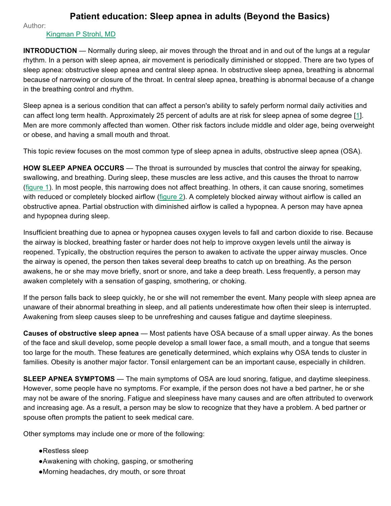## **Patient education: Sleep apnea in adults (Beyond the Basics)**

Author:

## Kingman P Strohl, MD

**INTRODUCTION** — Normally during sleep, air moves through the throat and in and out of the lungs at a regular rhythm. In a person with sleep apnea, air movement is periodically diminished or stopped. There are two types of sleep apnea: obstructive sleep apnea and central sleep apnea. In obstructive sleep apnea, breathing is abnormal because of narrowing or closure of the throat. In central sleep apnea, breathing is abnormal because of a change in the breathing control and rhythm.

Sleep apnea is a serious condition that can affect a person's ability to safely perform normal daily activities and can affect long term health. Approximately 25 percent of adults are at risk for sleep apnea of some degree [1]. Men are more commonly affected than women. Other risk factors include middle and older age, being overweight or obese, and having a small mouth and throat.

This topic review focuses on the most common type of sleep apnea in adults, obstructive sleep apnea (OSA).

**HOW SLEEP APNEA OCCURS** — The throat is surrounded by muscles that control the airway for speaking, swallowing, and breathing. During sleep, these muscles are less active, and this causes the throat to narrow (figure 1). In most people, this narrowing does not affect breathing. In others, it can cause snoring, sometimes with reduced or completely blocked airflow (figure 2). A completely blocked airway without airflow is called an obstructive apnea. Partial obstruction with diminished airflow is called a hypopnea. A person may have apnea and hypopnea during sleep.

Insufficient breathing due to apnea or hypopnea causes oxygen levels to fall and carbon dioxide to rise. Because the airway is blocked, breathing faster or harder does not help to improve oxygen levels until the airway is reopened. Typically, the obstruction requires the person to awaken to activate the upper airway muscles. Once the airway is opened, the person then takes several deep breaths to catch up on breathing. As the person awakens, he or she may move briefly, snort or snore, and take a deep breath. Less frequently, a person may awaken completely with a sensation of gasping, smothering, or choking.

If the person falls back to sleep quickly, he or she will not remember the event. Many people with sleep apnea are unaware of their abnormal breathing in sleep, and all patients underestimate how often their sleep is interrupted. Awakening from sleep causes sleep to be unrefreshing and causes fatigue and daytime sleepiness.

**Causes of obstructive sleep apnea** — Most patients have OSA because of a small upper airway. As the bones of the face and skull develop, some people develop a small lower face, a small mouth, and a tongue that seems too large for the mouth. These features are genetically determined, which explains why OSA tends to cluster in families. Obesity is another major factor. Tonsil enlargement can be an important cause, especially in children.

**SLEEP APNEA SYMPTOMS** — The main symptoms of OSA are loud snoring, fatigue, and daytime sleepiness. However, some people have no symptoms. For example, if the person does not have a bed partner, he or she may not be aware of the snoring. Fatigue and sleepiness have many causes and are often attributed to overwork and increasing age. As a result, a person may be slow to recognize that they have a problem. A bed partner or spouse often prompts the patient to seek medical care.

Other symptoms may include one or more of the following:

- ●Restless sleep
- ●Awakening with choking, gasping, or smothering
- ●Morning headaches, dry mouth, or sore throat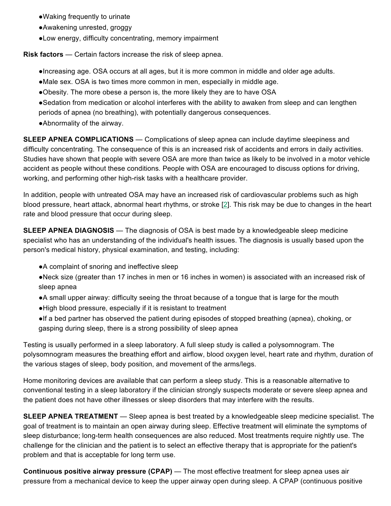- ●Waking frequently to urinate
- ●Awakening unrested, groggy
- ●Low energy, difficulty concentrating, memory impairment

**Risk factors** — Certain factors increase the risk of sleep apnea.

- ●Increasing age. OSA occurs at all ages, but it is more common in middle and older age adults.
- ●Male sex. OSA is two times more common in men, especially in middle age.
- ●Obesity. The more obese a person is, the more likely they are to have OSA
- ●Sedation from medication or alcohol interferes with the ability to awaken from sleep and can lengthen periods of apnea (no breathing), with potentially dangerous consequences.
- ●Abnormality of the airway.

**SLEEP APNEA COMPLICATIONS** — Complications of sleep apnea can include daytime sleepiness and difficulty concentrating. The consequence of this is an increased risk of accidents and errors in daily activities. Studies have shown that people with severe OSA are more than twice as likely to be involved in a motor vehicle accident as people without these conditions. People with OSA are encouraged to discuss options for driving, working, and performing other high-risk tasks with a healthcare provider.

In addition, people with untreated OSA may have an increased risk of cardiovascular problems such as high blood pressure, heart attack, abnormal heart rhythms, or stroke [2]. This risk may be due to changes in the heart rate and blood pressure that occur during sleep.

**SLEEP APNEA DIAGNOSIS** — The diagnosis of OSA is best made by a knowledgeable sleep medicine specialist who has an understanding of the individual's health issues. The diagnosis is usually based upon the person's medical history, physical examination, and testing, including:

- ●A complaint of snoring and ineffective sleep
- ●Neck size (greater than 17 inches in men or 16 inches in women) is associated with an increased risk of sleep apnea
- ●A small upper airway: difficulty seeing the throat because of a tongue that is large for the mouth
- ●High blood pressure, especially if it is resistant to treatment
- ●If a bed partner has observed the patient during episodes of stopped breathing (apnea), choking, or gasping during sleep, there is a strong possibility of sleep apnea

Testing is usually performed in a sleep laboratory. A full sleep study is called a polysomnogram. The polysomnogram measures the breathing effort and airflow, blood oxygen level, heart rate and rhythm, duration of the various stages of sleep, body position, and movement of the arms/legs.

Home monitoring devices are available that can perform a sleep study. This is a reasonable alternative to conventional testing in a sleep laboratory if the clinician strongly suspects moderate or severe sleep apnea and the patient does not have other illnesses or sleep disorders that may interfere with the results.

**SLEEP APNEA TREATMENT** — Sleep apnea is best treated by a knowledgeable sleep medicine specialist. The goal of treatment is to maintain an open airway during sleep. Effective treatment will eliminate the symptoms of sleep disturbance; long-term health consequences are also reduced. Most treatments require nightly use. The challenge for the clinician and the patient is to select an effective therapy that is appropriate for the patient's problem and that is acceptable for long term use.

**Continuous positive airway pressure (CPAP)** — The most effective treatment for sleep apnea uses air pressure from a mechanical device to keep the upper airway open during sleep. A CPAP (continuous positive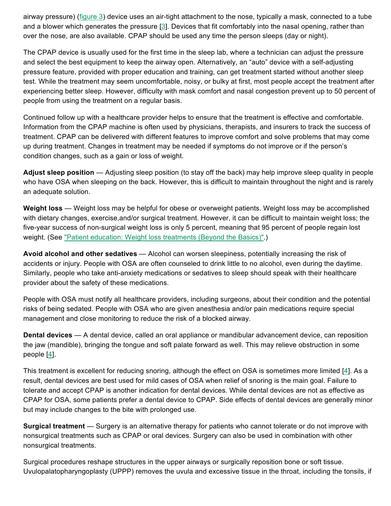airway pressure) (figure 3) device uses an air-tight attachment to the nose, typically a mask, connected to a tube and a blower which generates the pressure [3]. Devices that fit comfortably into the nasal opening, rather than over the nose, are also available. CPAP should be used any time the person sleeps (day or night).

The CPAP device is usually used for the first time in the sleep lab, where a technician can adjust the pressure and select the best equipment to keep the airway open. Alternatively, an "auto" device with a self-adjusting pressure feature, provided with proper education and training, can get treatment started without another sleep test. While the treatment may seem uncomfortable, noisy, or bulky at first, most people accept the treatment after experiencing better sleep. However, difficulty with mask comfort and nasal congestion prevent up to 50 percent of people from using the treatment on a regular basis.

Continued follow up with a healthcare provider helps to ensure that the treatment is effective and comfortable. Information from the CPAP machine is often used by physicians, therapists, and insurers to track the success of treatment. CPAP can be delivered with different features to improve comfort and solve problems that may come up during treatment. Changes in treatment may be needed if symptoms do not improve or if the person's condition changes, such as a gain or loss of weight.

**Adjust sleep position** — Adjusting sleep position (to stay off the back) may help improve sleep quality in people who have OSA when sleeping on the back. However, this is difficult to maintain throughout the night and is rarely an adequate solution.

**Weight loss** — Weight loss may be helpful for obese or overweight patients. Weight loss may be accomplished with dietary changes, exercise,and/or surgical treatment. However, it can be difficult to maintain weight loss; the five-year success of non-surgical weight loss is only 5 percent, meaning that 95 percent of people regain lost weight. (See "Patient education: Weight loss treatments (Beyond the Basics)".)

**Avoid alcohol and other sedatives** — Alcohol can worsen sleepiness, potentially increasing the risk of accidents or injury. People with OSA are often counseled to drink little to no alcohol, even during the daytime. Similarly, people who take anti-anxiety medications or sedatives to sleep should speak with their healthcare provider about the safety of these medications.

People with OSA must notify all healthcare providers, including surgeons, about their condition and the potential risks of being sedated. People with OSA who are given anesthesia and/or pain medications require special management and close monitoring to reduce the risk of a blocked airway.

**Dental devices** — A dental device, called an oral appliance or mandibular advancement device, can reposition the jaw (mandible), bringing the tongue and soft palate forward as well. This may relieve obstruction in some people [4].

This treatment is excellent for reducing snoring, although the effect on OSA is sometimes more limited [4]. As a result, dental devices are best used for mild cases of OSA when relief of snoring is the main goal. Failure to tolerate and accept CPAP is another indication for dental devices. While dental devices are not as effective as CPAP for OSA, some patients prefer a dental device to CPAP. Side effects of dental devices are generally minor but may include changes to the bite with prolonged use.

**Surgical treatment** — Surgery is an alternative therapy for patients who cannot tolerate or do not improve with nonsurgical treatments such as CPAP or oral devices. Surgery can also be used in combination with other nonsurgical treatments.

Surgical procedures reshape structures in the upper airways or surgically reposition bone or soft tissue. Uvulopalatopharyngoplasty (UPPP) removes the uvula and excessive tissue in the throat, including the tonsils, if